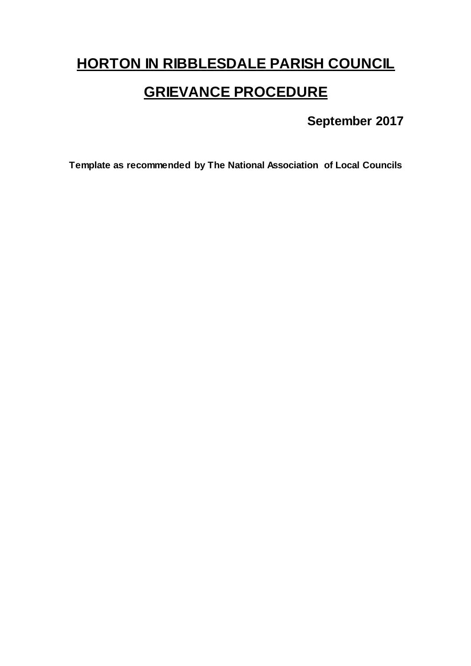# **HORTON IN RIBBLESDALE PARISH COUNCIL**

# **GRIEVANCE PROCEDURE**

## **September 2017**

**Template as recommended by The National Association of Local Councils**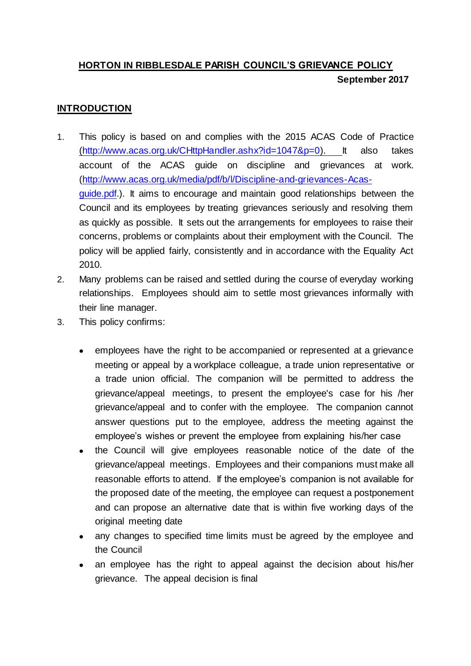## **HORTON IN RIBBLESDALE PARISH COUNCIL'S GRIEVANCE POLICY September 2017**

#### **INTRODUCTION**

- 1. This policy is based on and complies with the 2015 ACAS Code of Practice [\(http://www.acas.org.uk/CHttpHandler.ashx?id=1047&p=0\).](http://www.acas.org.uk/CHttpHandler.ashx?id=1047&p=0) It also takes account of the ACAS guide on discipline and grievances at work. [\(http://www.acas.org.uk/media/pdf/b/l/Discipline-and-grievances-Acas](http://www.acas.org.uk/media/pdf/b/l/Discipline-and-grievances-Acas-guide.pdf)[guide.pdf.\)](http://www.acas.org.uk/media/pdf/b/l/Discipline-and-grievances-Acas-guide.pdf). It aims to encourage and maintain good relationships between the Council and its employees by treating grievances seriously and resolving them as quickly as possible. It sets out the arrangements for employees to raise their concerns, problems or complaints about their employment with the Council. The policy will be applied fairly, consistently and in accordance with the Equality Act 2010.
- 2. Many problems can be raised and settled during the course of everyday working relationships. Employees should aim to settle most grievances informally with their line manager.
- 3. This policy confirms:
	- employees have the right to be accompanied or represented at a grievance meeting or appeal by a workplace colleague, a trade union representative or a trade union official. The companion will be permitted to address the grievance/appeal meetings, to present the employee's case for his /her grievance/appeal and to confer with the employee. The companion cannot answer questions put to the employee, address the meeting against the employee's wishes or prevent the employee from explaining his/her case
	- the Council will give employees reasonable notice of the date of the grievance/appeal meetings. Employees and their companions must make all reasonable efforts to attend. If the employee's companion is not available for the proposed date of the meeting, the employee can request a postponement and can propose an alternative date that is within five working days of the original meeting date
	- any changes to specified time limits must be agreed by the employee and the Council
	- an employee has the right to appeal against the decision about his/her grievance. The appeal decision is final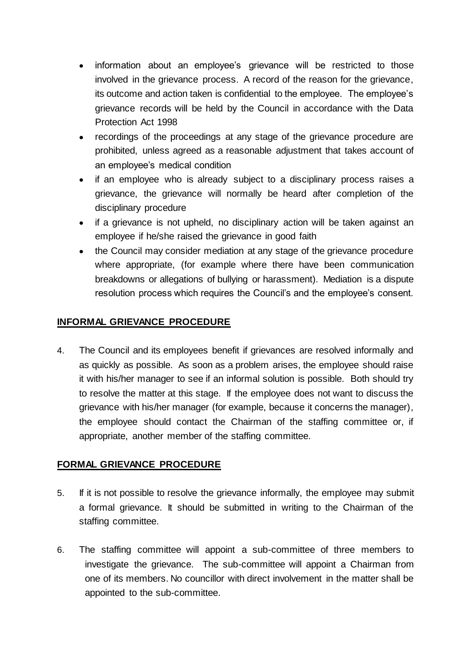- information about an employee's grievance will be restricted to those involved in the grievance process. A record of the reason for the grievance, its outcome and action taken is confidential to the employee. The employee's grievance records will be held by the Council in accordance with the Data Protection Act 1998
- recordings of the proceedings at any stage of the grievance procedure are prohibited, unless agreed as a reasonable adjustment that takes account of an employee's medical condition
- if an employee who is already subject to a disciplinary process raises a grievance, the grievance will normally be heard after completion of the disciplinary procedure
- if a grievance is not upheld, no disciplinary action will be taken against an employee if he/she raised the grievance in good faith
- the Council may consider mediation at any stage of the grievance procedure where appropriate, (for example where there have been communication breakdowns or allegations of bullying or harassment). Mediation is a dispute resolution process which requires the Council's and the employee's consent.

#### **INFORMAL GRIEVANCE PROCEDURE**

4. The Council and its employees benefit if grievances are resolved informally and as quickly as possible. As soon as a problem arises, the employee should raise it with his/her manager to see if an informal solution is possible. Both should try to resolve the matter at this stage. If the employee does not want to discuss the grievance with his/her manager (for example, because it concerns the manager), the employee should contact the Chairman of the staffing committee or, if appropriate, another member of the staffing committee.

#### **FORMAL GRIEVANCE PROCEDURE**

- 5. If it is not possible to resolve the grievance informally, the employee may submit a formal grievance. It should be submitted in writing to the Chairman of the staffing committee.
- 6. The staffing committee will appoint a sub-committee of three members to investigate the grievance. The sub-committee will appoint a Chairman from one of its members. No councillor with direct involvement in the matter shall be appointed to the sub-committee.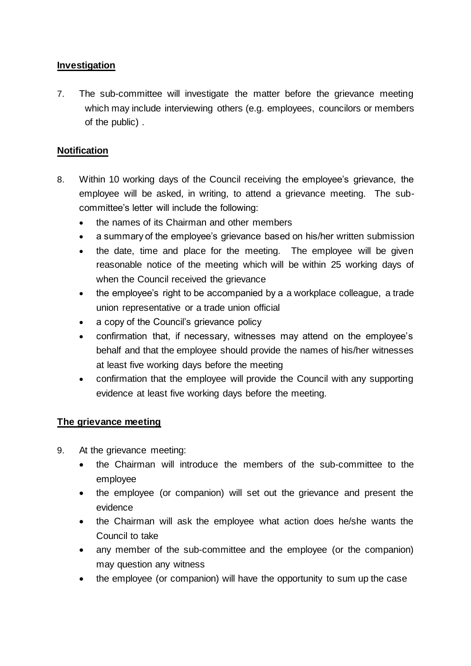#### **Investigation**

7. The sub-committee will investigate the matter before the grievance meeting which may include interviewing others (e.g. employees, councilors or members of the public) .

#### **Notification**

- 8. Within 10 working days of the Council receiving the employee's grievance, the employee will be asked, in writing, to attend a grievance meeting. The subcommittee's letter will include the following:
	- the names of its Chairman and other members
	- a summary of the employee's grievance based on his/her written submission
	- the date, time and place for the meeting. The employee will be given reasonable notice of the meeting which will be within 25 working days of when the Council received the grievance
	- the employee's right to be accompanied by a a workplace colleague, a trade union representative or a trade union official
	- a copy of the Council's grievance policy
	- confirmation that, if necessary, witnesses may attend on the employee's behalf and that the employee should provide the names of his/her witnesses at least five working days before the meeting
	- confirmation that the employee will provide the Council with any supporting evidence at least five working days before the meeting.

#### **The grievance meeting**

- 9. At the grievance meeting:
	- the Chairman will introduce the members of the sub-committee to the employee
	- the employee (or companion) will set out the grievance and present the evidence
	- the Chairman will ask the employee what action does he/she wants the Council to take
	- any member of the sub-committee and the employee (or the companion) may question any witness
	- the employee (or companion) will have the opportunity to sum up the case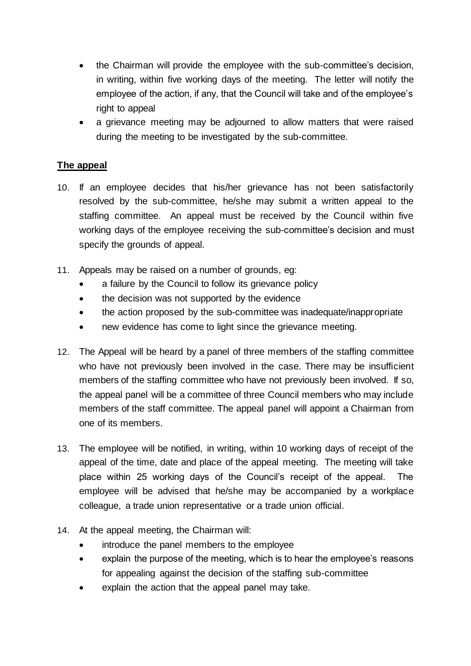- the Chairman will provide the employee with the sub-committee's decision, in writing, within five working days of the meeting. The letter will notify the employee of the action, if any, that the Council will take and of the employee's right to appeal
- a grievance meeting may be adjourned to allow matters that were raised during the meeting to be investigated by the sub-committee.

#### **The appeal**

- 10. If an employee decides that his/her grievance has not been satisfactorily resolved by the sub-committee, he/she may submit a written appeal to the staffing committee. An appeal must be received by the Council within five working days of the employee receiving the sub-committee's decision and must specify the grounds of appeal.
- 11. Appeals may be raised on a number of grounds, eg:
	- a failure by the Council to follow its grievance policy
	- the decision was not supported by the evidence
	- the action proposed by the sub-committee was inadequate/inappropriate
	- new evidence has come to light since the grievance meeting.
- 12. The Appeal will be heard by a panel of three members of the staffing committee who have not previously been involved in the case. There may be insufficient members of the staffing committee who have not previously been involved. If so, the appeal panel will be a committee of three Council members who may include members of the staff committee. The appeal panel will appoint a Chairman from one of its members.
- 13. The employee will be notified, in writing, within 10 working days of receipt of the appeal of the time, date and place of the appeal meeting. The meeting will take place within 25 working days of the Council's receipt of the appeal. The employee will be advised that he/she may be accompanied by a workplace colleague, a trade union representative or a trade union official.
- 14. At the appeal meeting, the Chairman will:
	- introduce the panel members to the employee
	- explain the purpose of the meeting, which is to hear the employee's reasons for appealing against the decision of the staffing sub-committee
	- explain the action that the appeal panel may take.